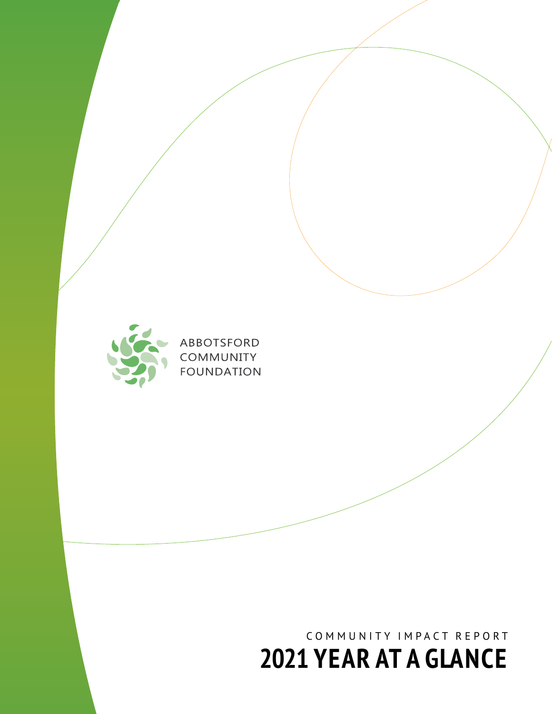### COMMUNITY IMPACT REPORT **2021 YEAR AT A GLANCE**



ABBOTSFORD COMMUNITY **FOUNDATION**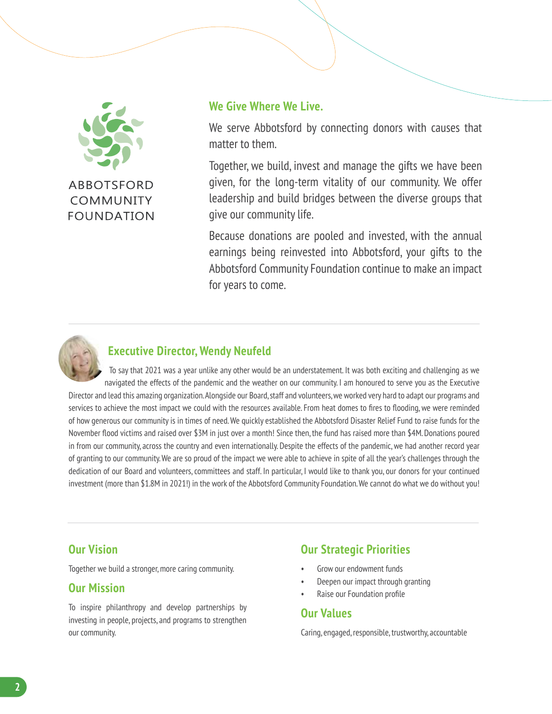

**FOUNDATION** 

#### **We Give Where We Live.**

We serve Abbotsford by connecting donors with causes that matter to them.

Together, we build, invest and manage the gifts we have been given, for the long-term vitality of our community. We offer leadership and build bridges between the diverse groups that give our community life.

Because donations are pooled and invested, with the annual earnings being reinvested into Abbotsford, your gifts to the Abbotsford Community Foundation continue to make an impact for years to come.



#### **Executive Director, Wendy Neufeld**

To say that 2021 was a year unlike any other would be an understatement. It was both exciting and challenging as we navigated the effects of the pandemic and the weather on our community. I am honoured to serve you as the Executive Director and lead this amazing organization. Alongside our Board, staff and volunteers, we worked very hard to adapt our programs and services to achieve the most impact we could with the resources available. From heat domes to fires to flooding, we were reminded of how generous our community is in times of need. We quickly established the Abbotsford Disaster Relief Fund to raise funds for the November flood victims and raised over \$3M in just over a month! Since then, the fund has raised more than \$4M. Donations poured in from our community, across the country and even internationally. Despite the effects of the pandemic, we had another record year of granting to our community. We are so proud of the impact we were able to achieve in spite of all the year's challenges through the dedication of our Board and volunteers, committees and staff. In particular, I would like to thank you, our donors for your continued investment (more than \$1.8M in 2021!) in the work of the Abbotsford Community Foundation. We cannot do what we do without you!

#### **Our Vision**

Together we build a stronger, more caring community.

#### **Our Mission**

To inspire philanthropy and develop partnerships by investing in people, projects, and programs to strengthen our community.

#### **Our Strategic Priorities**

- Grow our endowment funds
- Deepen our impact through granting
- Raise our Foundation profile

#### **Our Values**

Caring, engaged, responsible, trustworthy, accountable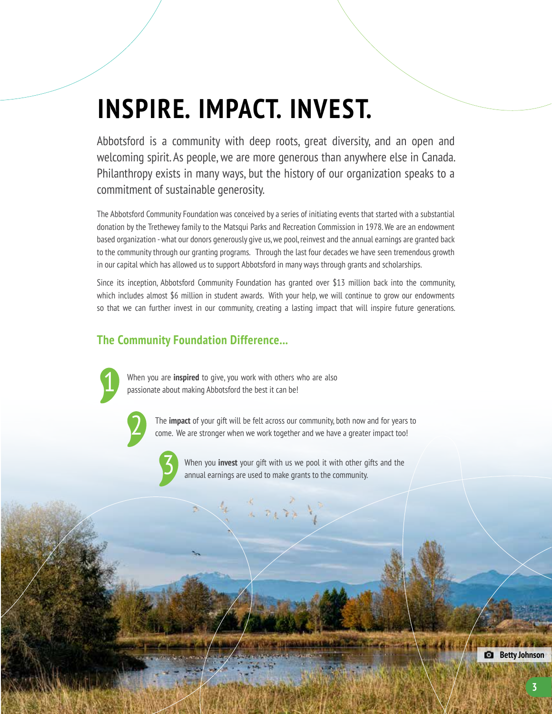# **INSPIRE. IMPACT. INVEST.**

Abbotsford is a community with deep roots, great diversity, and an open and welcoming spirit. As people, we are more generous than anywhere else in Canada. Philanthropy exists in many ways, but the history of our organization speaks to a commitment of sustainable generosity.

The Abbotsford Community Foundation was conceived by a series of initiating events that started with a substantial donation by the Trethewey family to the Matsqui Parks and Recreation Commission in 1978. We are an endowment based organization - what our donors generously give us, we pool, reinvest and the annual earnings are granted back to the community through our granting programs. Through the last four decades we have seen tremendous growth in our capital which has allowed us to support Abbotsford in many ways through grants and scholarships.

Since its inception, Abbotsford Community Foundation has granted over \$13 million back into the community, which includes almost \$6 million in student awards. With your help, we will continue to grow our endowments so that we can further invest in our community, creating a lasting impact that will inspire future generations.

#### **The Community Foundation Difference...**



2

When you are **inspired** to give, you work with others who are also passionate about making Abbotsford the best it can be!

> The **impact** of your gift will be felt across our community, both now and for years to come. We are stronger when we work together and we have a greater impact too!



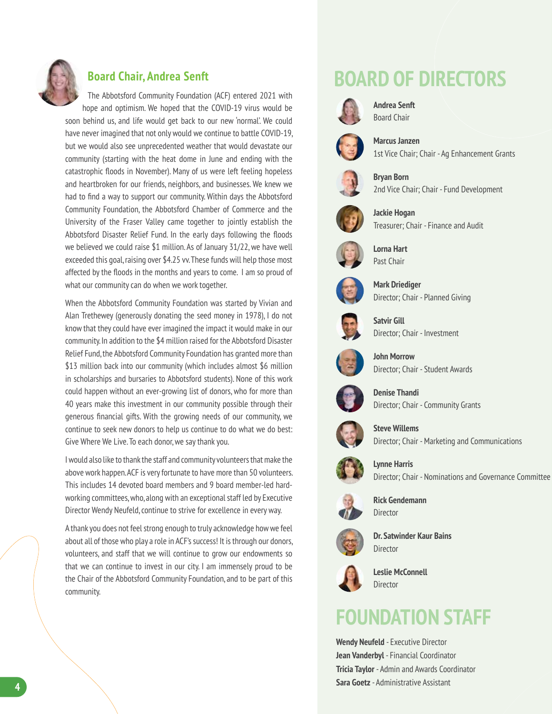

#### **Board Chair, Andrea Senft**

The Abbotsford Community Foundation (ACF) entered 2021 with hope and optimism. We hoped that the COVID-19 virus would be soon behind us, and life would get back to our new 'normal'. We could have never imagined that not only would we continue to battle COVID-19, but we would also see unprecedented weather that would devastate our

community (starting with the heat dome in June and ending with the catastrophic floods in November). Many of us were left feeling hopeless and heartbroken for our friends, neighbors, and businesses. We knew we had to find a way to support our community. Within days the Abbotsford Community Foundation, the Abbotsford Chamber of Commerce and the University of the Fraser Valley came together to jointly establish the Abbotsford Disaster Relief Fund. In the early days following the floods we believed we could raise \$1 million. As of January 31/22, we have well exceeded this goal, raising over \$4.25 vv. These funds will help those most affected by the floods in the months and years to come. I am so proud of what our community can do when we work together.

When the Abbotsford Community Foundation was started by Vivian and Alan Trethewey (generously donating the seed money in 1978), I do not know that they could have ever imagined the impact it would make in our community. In addition to the \$4 million raised for the Abbotsford Disaster Relief Fund, the Abbotsford Community Foundation has granted more than \$13 million back into our community (which includes almost \$6 million in scholarships and bursaries to Abbotsford students). None of this work could happen without an ever-growing list of donors, who for more than 40 years make this investment in our community possible through their generous financial gifts. With the growing needs of our community, we continue to seek new donors to help us continue to do what we do best: Give Where We Live. To each donor, we say thank you.

I would also like to thank the staff and community volunteers that make the above work happen. ACF is very fortunate to have more than 50 volunteers. This includes 14 devoted board members and 9 board member-led hardworking committees, who, along with an exceptional staff led by Executive Director Wendy Neufeld, continue to strive for excellence in every way.

A thank you does not feel strong enough to truly acknowledge how we feel about all of those who play a role in ACF's success! It is through our donors, volunteers, and staff that we will continue to grow our endowments so that we can continue to invest in our city. I am immensely proud to be the Chair of the Abbotsford Community Foundation, and to be part of this community.

### **BOARD OF DIRECTORS**



**Andrea Senft** Board Chair



**Marcus Janzen** 1st Vice Chair; Chair - Ag Enhancement Grants

**Bryan Born** 2nd Vice Chair; Chair - Fund Development



**Jackie Hogan** Treasurer; Chair - Finance and Audit



**Lorna Hart** Past Chair



**Mark Driediger** Director; Chair - Planned Giving



**Satvir Gill** Director; Chair - Investment



**John Morrow** Director; Chair - Student Awards







Director; Chair - Marketing and Communications



**Lynne Harris** Director; Chair - Nominations and Governance Committee



**Rick Gendemann** Director



**Dr. Satwinder Kaur Bains** Director



**Leslie McConnell** Director

### **FOUNDATION STAFF**

**Wendy Neufeld** - Executive Director **Jean Vanderbyl** - Financial Coordinator **Tricia Taylor** - Admin and Awards Coordinator **Sara Goetz** - Administrative Assistant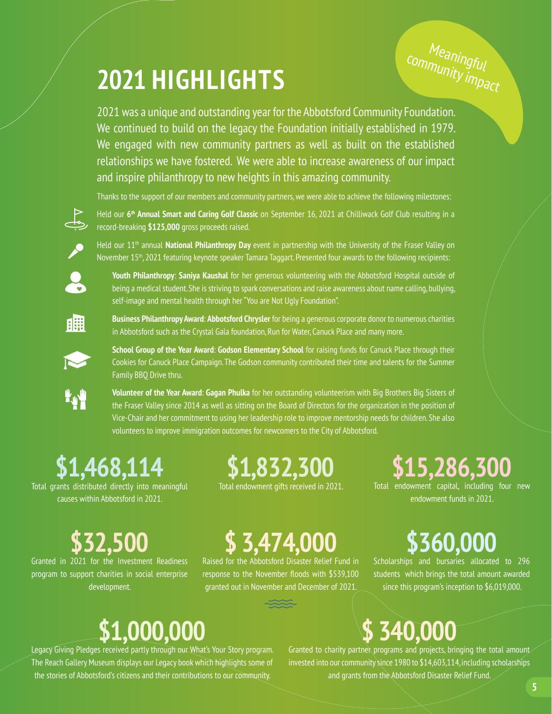# **2021 HIGHLIGHTS**

Meaningful<br><sup>Munit</sub>aful</sup> community impact

2021 was a unique and outstanding year for the Abbotsford Community Foundation. We continued to build on the legacy the Foundation initially established in 1979. We engaged with new community partners as well as built on the established relationships we have fostered. We were able to increase awareness of our impact and inspire philanthropy to new heights in this amazing community.

Thanks to the support of our members and community partners, we were able to achieve the following milestones:



Held our **6th Annual Smart and Caring Golf Classic** on September 16, 2021 at Chilliwack Golf Club resulting in a record-breaking **\$125,000** gross proceeds raised.



Held our 11<sup>th</sup> annual **National Philanthropy Day** event in partnership with the University of the Fraser Valley on November 15<sup>th</sup>, 2021 featuring keynote speaker Tamara Taggart. Presented four awards to the following recipients:



**Youth Philanthropy**: **Saniya Kaushal** for her generous volunteering with the Abbotsford Hospital outside of being a medical student. She is striving to spark conversations and raise awareness about name calling, bullying, self-image and mental health through her "You are Not Ugly Foundation".

**Business Philanthropy Award**: **Abbotsford Chrysler** for being a generous corporate donor to numerous charities in Abbotsford such as the Crystal Gala foundation, Run for Water, Canuck Place and many more.



矙

**School Group of the Year Award**: **Godson Elementary School** for raising funds for Canuck Place through their Cookies for Canuck Place Campaign. The Godson community contributed their time and talents for the Summer Family BBQ Drive thru.

**Volunteer of the Year Award**: **Gagan Phulka** for her outstanding volunteerism with Big Brothers Big Sisters of the Fraser Valley since 2014 as well as sitting on the Board of Directors for the organization in the position of Vice-Chair and her commitment to using her leadership role to improve mentorship needs for children. She also volunteers to improve immigration outcomes for newcomers to the City of Abbotsford.

# **\$1,468,114**

Total grants distributed directly into meaningful causes within Abbotsford in 2021.

# **\$1,832,300**

Total endowment gifts received in 2021.

# **\$15,286,300**

Total endowment capital, including four new endowment funds in 2021.

# **\$32,500**

Granted in 2021 for the Investment Readiness program to support charities in social enterprise development.

# **\$ 3,474,000**

Raised for the Abbotsford Disaster Relief Fund in response to the November floods with \$539,100 granted out in November and December of 2021.

# **\$360,000**

Scholarships and bursaries allocated to 296 students which brings the total amount awarded since this program's inception to \$6,019,000.

### **\$1,000,000**

Legacy Giving Pledges received partly through our What's Your Story program. The Reach Gallery Museum displays our Legacy book which highlights some of the stories of Abbotsford's citizens and their contributions to our community.

Granted to charity partner programs and projects, bringing the total amount invested into our community since 1980 to \$14,603,114, including scholarships and grants from the Abbotsford Disaster Relief Fund.

**\$ 340,000**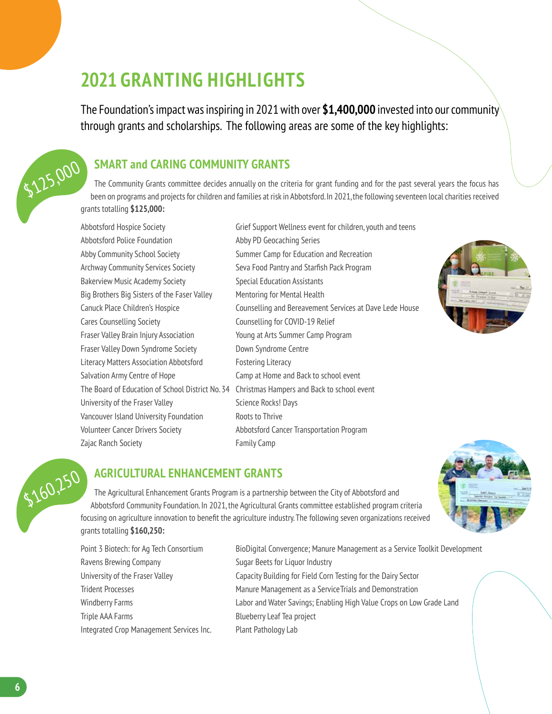### **2021 GRANTING HIGHLIGHTS**

The Foundation's impact was inspiring in 2021 with over **\$1,400,000** invested into our community through grants and scholarships. The following areas are some of the key highlights:

#### **SMART and CARING COMMUNITY GRANTS**

The Community Grants committee decides annually on the criteria for grant funding and for the past several years the focus has been on programs and projects for children and families at risk in Abbotsford. In 2021, the following seventeen local charities received grants totalling **\$125,000:** \$125,000

> Abbotsford Police Foundation **Abby PD** Geocaching Series Abby Community School Society Summer Camp for Education and Recreation Archway Community Services Society Seva Food Pantry and Starfish Pack Program Bakerview Music Academy Society Supersitive Special Education Assistants Big Brothers Big Sisters of the Faser Valley Mentoring for Mental Health Cares Counselling Society Counselling for COVID-19 Relief Fraser Valley Brain Injury Association Young at Arts Summer Camp Program Fraser Valley Down Syndrome Society **Down Syndrome Centre** Literacy Matters Association Abbotsford Fostering Literacy Salvation Army Centre of Hope Camp at Home and Back to school event University of the Fraser Valley Science Rocks! Days Vancouver Island University Foundation Roots to Thrive Volunteer Cancer Drivers Society Abbotsford Cancer Transportation Program Zajac Ranch Society **Family Camp**

Abbotsford Hospice Society Grief Support Wellness event for children, youth and teens Canuck Place Children's Hospice Counselling and Bereavement Services at Dave Lede House The Board of Education of School District No. 34 Christmas Hampers and Back to school event





#### **AGRICULTURAL ENHANCEMENT GRANTS**

The Agricultural Enhancement Grants Program is a partnership between the City of Abbotsford and Abbotsford Community Foundation. In 2021, the Agricultural Grants committee established program criteria focusing on agriculture innovation to benefit the agriculture industry. The following seven organizations received grants totalling **\$160,250:**

Ravens Brewing Company **Sugar Beets for Liquor Industry** Triple AAA Farms **Blueberry Leaf Tea project** Integrated Crop Management Services Inc. Plant Pathology Lab

Point 3 Biotech: for Ag Tech Consortium BioDigital Convergence; Manure Management as a Service Toolkit Development University of the Fraser Valley Capacity Building for Field Corn Testing for the Dairy Sector Trident Processes Manure Management as a ServiceTrials and Demonstration Windberry Farms **Labor and Water Savings; Enabling High Value Crops on Low Grade Land**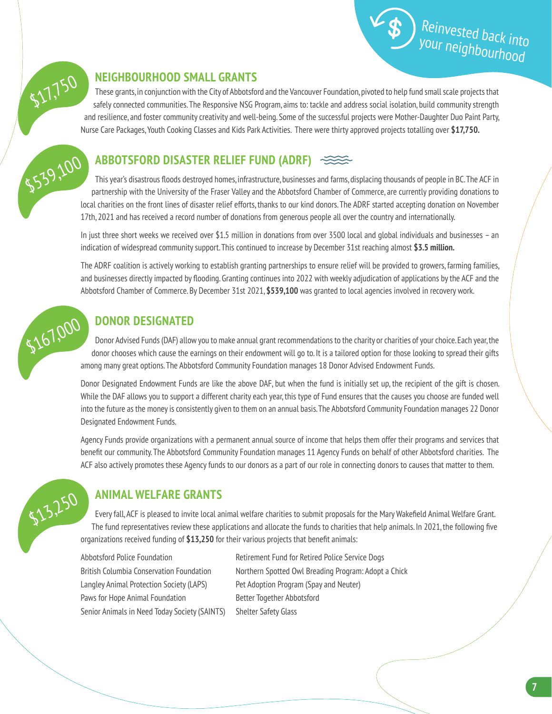



#### **NEIGHBOURHOOD SMALL GRANTS**

These grants, in conjunction with the City of Abbotsford and the Vancouver Foundation, pivoted to help fund small scale projects that safely connected communities. The Responsive NSG Program, aims to: tackle and address social isolation, build community strength and resilience, and foster community creativity and well-being. Some of the successful projects were Mother-Daughter Duo Paint Party, Nurse Care Packages, Youth Cooking Classes and Kids Park Activities. There were thirty approved projects totalling over **\$17,750.**

#### **ABBOTSFORD DISASTER RELIEF FUND (ADRF)**

This year's disastrous floods destroyed homes, infrastructure, businesses and farms, displacing thousands of people in BC. The ACF in partnership with the University of the Fraser Valley and the Abbotsford Chamber of Commerce, are currently providing donations to local charities on the front lines of disaster relief efforts, thanks to our kind donors. The ADRF started accepting donation on November 17th, 2021 and has received a record number of donations from generous people all over the country and internationally. \$539,100

> In just three short weeks we received over \$1.5 million in donations from over 3500 local and global individuals and businesses – an indication of widespread community support. This continued to increase by December 31st reaching almost **\$3.5 million.**

> The ADRF coalition is actively working to establish granting partnerships to ensure relief will be provided to growers, farming families, and businesses directly impacted by flooding. Granting continues into 2022 with weekly adjudication of applications by the ACF and the Abbotsford Chamber of Commerce. By December 31st 2021, **\$539,100** was granted to local agencies involved in recovery work.



#### **DONOR DESIGNATED**

Donor Advised Funds (DAF) allow you to make annual grant recommendations to the charity or charities of your choice. Each year, the donor chooses which cause the earnings on their endowment will go to. It is a tailored option for those looking to spread their gifts among many great options. The Abbotsford Community Foundation manages 18 Donor Advised Endowment Funds.

Donor Designated Endowment Funds are like the above DAF, but when the fund is initially set up, the recipient of the gift is chosen. While the DAF allows you to support a different charity each year, this type of Fund ensures that the causes you choose are funded well into the future as the money is consistently given to them on an annual basis. The Abbotsford Community Foundation manages 22 Donor Designated Endowment Funds.

Agency Funds provide organizations with a permanent annual source of income that helps them offer their programs and services that benefit our community. The Abbotsford Community Foundation manages 11 Agency Funds on behalf of other Abbotsford charities. The ACF also actively promotes these Agency funds to our donors as a part of our role in connecting donors to causes that matter to them.



#### **ANIMAL WELFARE GRANTS**

Every fall, ACF is pleased to invite local animal welfare charities to submit proposals for the Mary Wakefield Animal Welfare Grant. The fund representatives review these applications and allocate the funds to charities that help animals. In 2021, the following five organizations received funding of **\$13,250** for their various projects that benefit animals:

Langley Animal Protection Society (LAPS) Pet Adoption Program (Spay and Neuter) Paws for Hope Animal Foundation Better Together Abbotsford Senior Animals in Need Today Society (SAINTS) Shelter Safety Glass

Abbotsford Police Foundation **Retirement Fund for Retired Police Service Dogs** British Columbia Conservation Foundation Northern Spotted Owl Breading Program: Adopt a Chick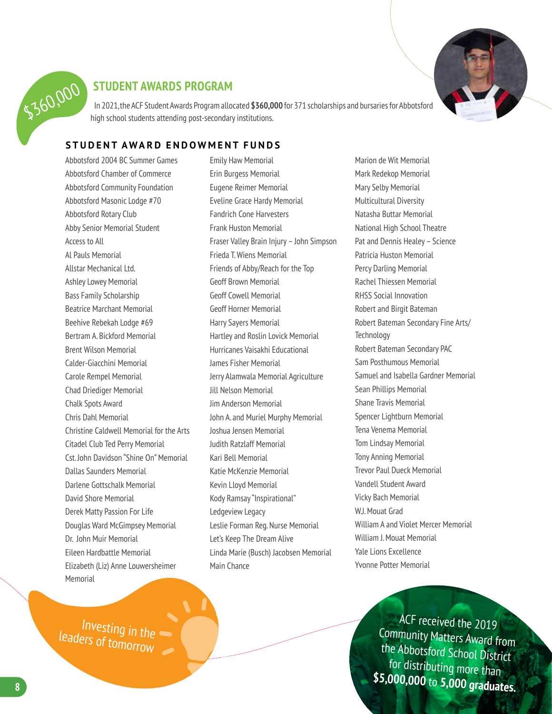

#### **STUDENT AWARDS PROGRAM**

In 2021, the ACF Student Awards Program allocated **\$360,000** for 371 scholarships and bursaries for Abbotsford high school students attending post-secondary institutions.

#### **STUDENT AWARD ENDOWMENT FUNDS**

Abbotsford 2004 BC Summer Games Abbotsford Chamber of Commerce Abbotsford Community Foundation Abbotsford Masonic Lodge #70 Abbotsford Rotary Club Abby Senior Memorial Student Access to All Al Pauls Memorial Allstar Mechanical Ltd. Ashley Lowey Memorial Bass Family Scholarship Beatrice Marchant Memorial Beehive Rebekah Lodge #69 Bertram A. Bickford Memorial Brent Wilson Memorial Calder-Giacchini Memorial Carole Rempel Memorial Chad Driediger Memorial Chalk Spots Award Chris Dahl Memorial Christine Caldwell Memorial for the Arts Citadel Club Ted Perry Memorial Cst. John Davidson "Shine On" Memorial Dallas Saunders Memorial Darlene Gottschalk Memorial David Shore Memorial Derek Matty Passion For Life Douglas Ward McGimpsey Memorial Dr. John Muir Memorial Eileen Hardbattle Memorial Elizabeth (Liz) Anne Louwersheimer Memorial

Emily Haw Memorial Erin Burgess Memorial Eugene Reimer Memorial Eveline Grace Hardy Memorial Fandrich Cone Harvesters Frank Huston Memorial Fraser Valley Brain Injury – John Simpson Frieda T. Wiens Memorial Friends of Abby/Reach for the Top Geoff Brown Memorial Geoff Cowell Memorial Geoff Horner Memorial Harry Sayers Memorial Hartley and Roslin Lovick Memorial Hurricanes Vaisakhi Educational James Fisher Memorial Jerry Alamwala Memorial Agriculture Jill Nelson Memorial Jim Anderson Memorial John A. and Muriel Murphy Memorial Joshua Jensen Memorial Judith Ratzlaff Memorial Kari Bell Memorial Katie McKenzie Memorial Kevin Lloyd Memorial Kody Ramsay "Inspirational" Ledgeview Legacy Leslie Forman Reg. Nurse Memorial Let's Keep The Dream Alive Linda Marie (Busch) Jacobsen Memorial Main Chance

Marion de Wit Memorial Mark Redekop Memorial Mary Selby Memorial Multicultural Diversity Natasha Buttar Memorial National High School Theatre Pat and Dennis Healey – Science Patricia Huston Memorial Percy Darling Memorial Rachel Thiessen Memorial RHSS Social Innovation Robert and Birgit Bateman Robert Bateman Secondary Fine Arts/ **Technology** Robert Bateman Secondary PAC Sam Posthumous Memorial Samuel and Isabella Gardner Memorial Sean Phillips Memorial Shane Travis Memorial Spencer Lightburn Memorial Tena Venema Memorial Tom Lindsay Memorial Tony Anning Memorial Trevor Paul Dueck Memorial Vandell Student Award Vicky Bach Memorial W.J. Mouat Grad William A and Violet Mercer Memorial William J. Mouat Memorial Yale Lions Excellence Yvonne Potter Memorial

> ACF received the 2019 Community Matters Award from the Abbotsford School District for distributing more than **\$5,000,000** to **5,000 graduates.**

Investing in the leaders of tomorrow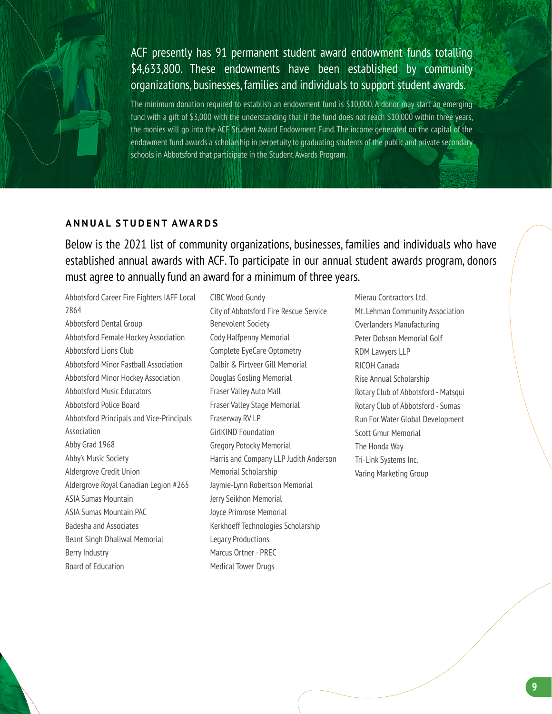

#### ACF presently has 91 permanent student award endowment funds totalling \$4,633,800. These endowments have been established by community organizations, businesses, families and individuals to support student awards.

The minimum donation required to establish an endowment fund is \$10,000. A donor may start an emerging fund with a gift of \$3,000 with the understanding that if the fund does not reach \$10,000 within three years, the monies will go into the ACF Student Award Endowment Fund. The income generated on the capital of the endowment fund awards a scholarship in perpetuity to graduating students of the public and private secondary schools in Abbotsford that participate in the Student Awards Program.

#### **ANNUAL STUDENT AWARDS**

Below is the 2021 list of community organizations, businesses, families and individuals who have established annual awards with ACF. To participate in our annual student awards program, donors must agree to annually fund an award for a minimum of three years.

Abbotsford Career Fire Fighters IAFF Local 2864 Abbotsford Dental Group Abbotsford Female Hockey Association Abbotsford Lions Club Abbotsford Minor Fastball Association Abbotsford Minor Hockey Association Abbotsford Music Educators Abbotsford Police Board Abbotsford Principals and Vice-Principals Association Abby Grad 1968 Abby's Music Society Aldergrove Credit Union Aldergrove Royal Canadian Legion #265 ASIA Sumas Mountain ASIA Sumas Mountain PAC Badesha and Associates Beant Singh Dhaliwal Memorial Berry Industry Board of Education

CIBC Wood Gundy City of Abbotsford Fire Rescue Service Benevolent Society Cody Halfpenny Memorial Complete EyeCare Optometry Dalbir & Pirtveer Gill Memorial Douglas Gosling Memorial Fraser Valley Auto Mall Fraser Valley Stage Memorial Fraserway RV LP GirlKIND Foundation Gregory Potocky Memorial Harris and Company LLP Judith Anderson Memorial Scholarship Jaymie-Lynn Robertson Memorial Jerry Seikhon Memorial Joyce Primrose Memorial Kerkhoeff Technologies Scholarship Legacy Productions Marcus Ortner - PREC Medical Tower Drugs

Mierau Contractors Ltd. Mt. Lehman Community Association Overlanders Manufacturing Peter Dobson Memorial Golf RDM Lawyers LLP RICOH Canada Rise Annual Scholarship Rotary Club of Abbotsford - Matsqui Rotary Club of Abbotsford - Sumas Run For Water Global Development Scott Gmur Memorial The Honda Way Tri-Link Systems Inc. Varing Marketing Group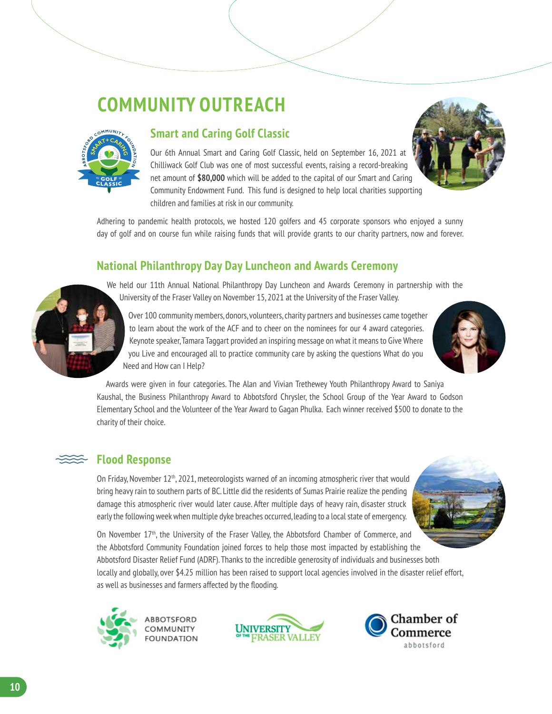### **COMMUNITY OUTREACH**



#### **Smart and Caring Golf Classic**

Our 6th Annual Smart and Caring Golf Classic, held on September 16, 2021 at Chilliwack Golf Club was one of most successful events, raising a record-breaking net amount of **\$80,000** which will be added to the capital of our Smart and Caring Community Endowment Fund. This fund is designed to help local charities supporting children and families at risk in our community.



Adhering to pandemic health protocols, we hosted 120 golfers and 45 corporate sponsors who enjoyed a sunny day of golf and on course fun while raising funds that will provide grants to our charity partners, now and forever.

#### **National Philanthropy Day Day Luncheon and Awards Ceremony**



We held our 11th Annual National Philanthropy Day Luncheon and Awards Ceremony in partnership with the University of the Fraser Valley on November 15, 2021 at the University of the Fraser Valley.

Over 100 community members, donors, volunteers, charity partners and businesses came together to learn about the work of the ACF and to cheer on the nominees for our 4 award categories. Keynote speaker, Tamara Taggart provided an inspiring message on what it means to Give Where you Live and encouraged all to practice community care by asking the questions What do you Need and How can I Help?



Awards were given in four categories. The Alan and Vivian Trethewey Youth Philanthropy Award to Saniya Kaushal, the Business Philanthropy Award to Abbotsford Chrysler, the School Group of the Year Award to Godson Elementary School and the Volunteer of the Year Award to Gagan Phulka. Each winner received \$500 to donate to the charity of their choice.

#### **Flood Response**

On Friday, November  $12<sup>th</sup>$ , 2021, meteorologists warned of an incoming atmospheric river that would bring heavy rain to southern parts of BC. Little did the residents of Sumas Prairie realize the pending damage this atmospheric river would later cause. After multiple days of heavy rain, disaster struck early the following week when multiple dyke breaches occurred, leading to a local state of emergency.



On November 17<sup>th</sup>, the University of the Fraser Valley, the Abbotsford Chamber of Commerce, and the Abbotsford Community Foundation joined forces to help those most impacted by establishing the Abbotsford Disaster Relief Fund (ADRF). Thanks to the incredible generosity of individuals and businesses both locally and globally, over \$4.25 million has been raised to support local agencies involved in the disaster relief effort, as well as businesses and farmers affected by the flooding.





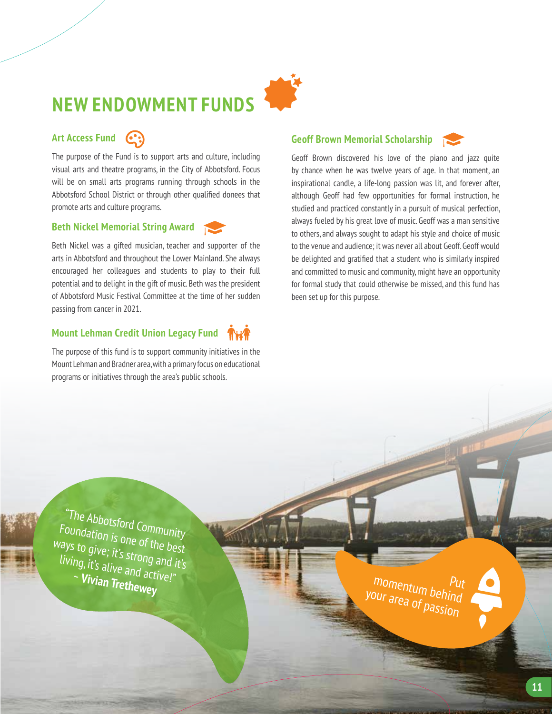# **NEW ENDOWMENT FUNDS**

#### **Art Access Fund**

The purpose of the Fund is to support arts and culture, including visual arts and theatre programs, in the City of Abbotsford. Focus will be on small arts programs running through schools in the Abbotsford School District or through other qualified donees that promote arts and culture programs.

#### **Beth Nickel Memorial String Award**

Beth Nickel was a gifted musician, teacher and supporter of the arts in Abbotsford and throughout the Lower Mainland. She always encouraged her colleagues and students to play to their full potential and to delight in the gift of music. Beth was the president of Abbotsford Music Festival Committee at the time of her sudden passing from cancer in 2021.

#### **Mount Lehman Credit Union Legacy Fund**

The purpose of this fund is to support community initiatives in the Mount Lehman and Bradner area, with a primary focus on educational programs or initiatives through the area's public schools.

#### **Geoff Brown Memorial Scholarship**



Geoff Brown discovered his love of the piano and jazz quite by chance when he was twelve years of age. In that moment, an inspirational candle, a life-long passion was lit, and forever after, although Geoff had few opportunities for formal instruction, he studied and practiced constantly in a pursuit of musical perfection, always fueled by his great love of music. Geoff was a man sensitive to others, and always sought to adapt his style and choice of music to the venue and audience; it was never all about Geoff. Geoff would be delighted and gratified that a student who is similarly inspired and committed to music and community, might have an opportunity for formal study that could otherwise be missed, and this fund has been set up for this purpose.

"The Abbotsford Community Foundation is one of the best ways to give; it's strong and it's living, it's alive and active!" <sup>~</sup>**Vivian Trethewey**

momentum behind<br><sup>Dur area of behind</sup> your area of passion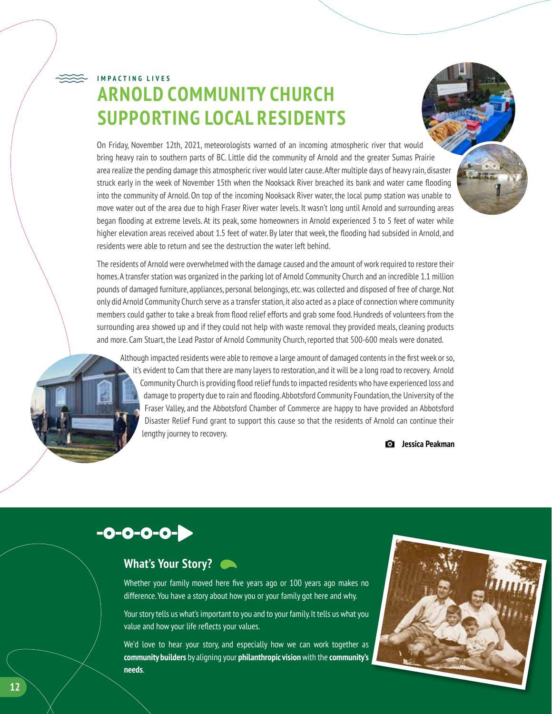### **ARNOLD COMMUNITY CHURCH SUPPORTING LOCAL RESIDENTS IMPACTING LIVES**

On Friday, November 12th, 2021, meteorologists warned of an incoming atmospheric river that would bring heavy rain to southern parts of BC. Little did the community of Arnold and the greater Sumas Prairie area realize the pending damage this atmospheric river would later cause. After multiple days of heavy rain, disaster struck early in the week of November 15th when the Nooksack River breached its bank and water came flooding into the community of Arnold. On top of the incoming Nooksack River water, the local pump station was unable to move water out of the area due to high Fraser River water levels. It wasn't long until Arnold and surrounding areas began flooding at extreme levels. At its peak, some homeowners in Arnold experienced 3 to 5 feet of water while higher elevation areas received about 1.5 feet of water. By later that week, the flooding had subsided in Arnold, and residents were able to return and see the destruction the water left behind.

The residents of Arnold were overwhelmed with the damage caused and the amount of work required to restore their homes. A transfer station was organized in the parking lot of Arnold Community Church and an incredible 1.1 million pounds of damaged furniture, appliances, personal belongings, etc. was collected and disposed of free of charge. Not only did Arnold Community Church serve as a transfer station, it also acted as a place of connection where community members could gather to take a break from flood relief efforts and grab some food. Hundreds of volunteers from the surrounding area showed up and if they could not help with waste removal they provided meals, cleaning products and more. Cam Stuart, the Lead Pastor of Arnold Community Church, reported that 500-600 meals were donated.

Although impacted residents were able to remove a large amount of damaged contents in the first week or so, it's evident to Cam that there are many layers to restoration, and it will be a long road to recovery. Arnold Community Church is providing flood relief funds to impacted residents who have experienced loss and damage to property due to rain and flooding. Abbotsford Community Foundation, the University of the Fraser Valley, and the Abbotsford Chamber of Commerce are happy to have provided an Abbotsford Disaster Relief Fund grant to support this cause so that the residents of Arnold can continue their lengthy journey to recovery.



### $-0-0-0-0-$

#### **What's Your Story?**

Whether your family moved here five years ago or 100 years ago makes no difference. You have a story about how you or your family got here and why.

Your story tells us what's important to you and to your family. It tells us what you value and how your life reflects your values.

We'd love to hear your story, and especially how we can work together as **community builders** by aligning your **philanthropic vision** with the **community's needs**.

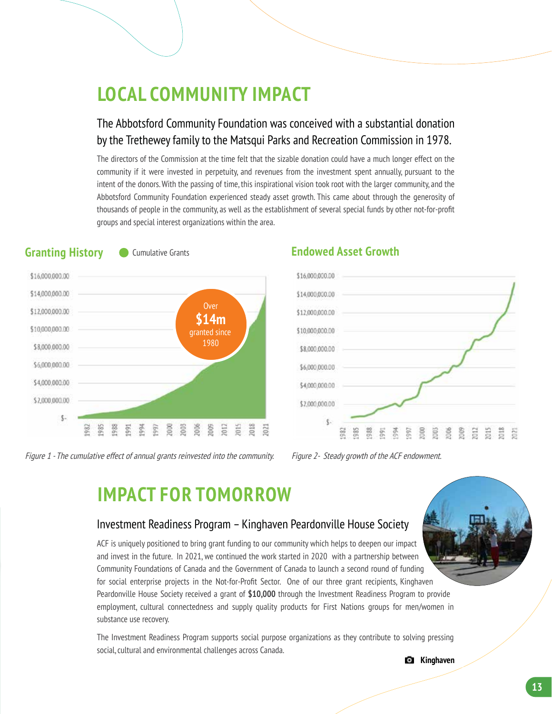### **LOCAL COMMUNITY IMPACT**

#### The Abbotsford Community Foundation was conceived with a substantial donation by the Trethewey family to the Matsqui Parks and Recreation Commission in 1978.

The directors of the Commission at the time felt that the sizable donation could have a much longer effect on the community if it were invested in perpetuity, and revenues from the investment spent annually, pursuant to the intent of the donors. With the passing of time, this inspirational vision took root with the larger community, and the Abbotsford Community Foundation experienced steady asset growth. This came about through the generosity of thousands of people in the community, as well as the establishment of several special funds by other not-for-profit groups and special interest organizations within the area.



Figure 1 - The cumulative effect of annual grants reinvested into the community. Figure 2- Steady growth of the ACF endowment.

#### **Granting History ••** Cumulative Grants **Canadiation Endowed Asset Growth**



### **IMPACT FOR TOMORROW**

#### Investment Readiness Program – Kinghaven Peardonville House Society

ACF is uniquely positioned to bring grant funding to our community which helps to deepen our impact and invest in the future. In 2021, we continued the work started in 2020 with a partnership between Community Foundations of Canada and the Government of Canada to launch a second round of funding for social enterprise projects in the Not-for-Profit Sector. One of our three grant recipients, Kinghaven Peardonville House Society received a grant of **\$10,000** through the Investment Readiness Program to provide employment, cultural connectedness and supply quality products for First Nations groups for men/women in substance use recovery.

The Investment Readiness Program supports social purpose organizations as they contribute to solving pressing social, cultural and environmental challenges across Canada.

**Kinghaven**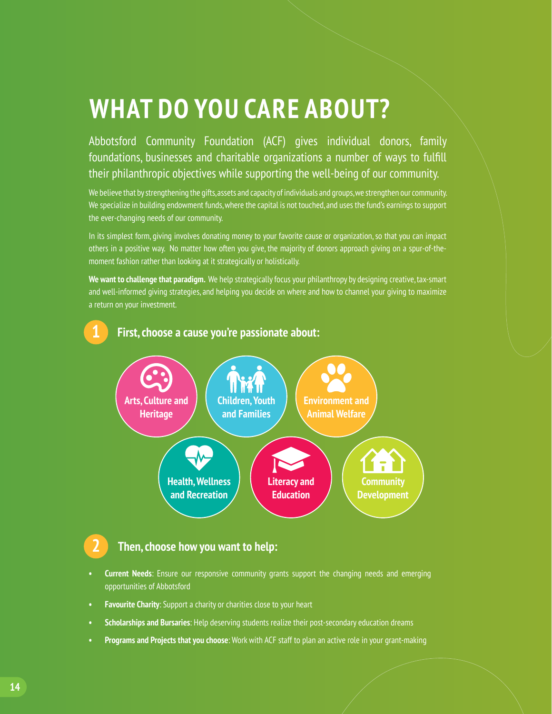### **WHAT DO YOU CARE ABOUT?**

Abbotsford Community Foundation (ACF) gives individual donors, family foundations, businesses and charitable organizations a number of ways to fulfill their philanthropic objectives while supporting the well-being of our community.

We believe that by strengthening the gifts, assets and capacity of individuals and groups, we strengthen our community. We specialize in building endowment funds, where the capital is not touched, and uses the fund's earnings to support the ever-changing needs of our community.

In its simplest form, giving involves donating money to your favorite cause or organization, so that you can impact others in a positive way. No matter how often you give, the majority of donors approach giving on a spur-of-themoment fashion rather than looking at it strategically or holistically.

**We want to challenge that paradigm.** We help strategically focus your philanthropy by designing creative, tax-smart and well-informed giving strategies, and helping you decide on where and how to channel your giving to maximize a return on your investment.



#### **2 Then, choose how you want to help:**

- **• Current Needs**: Ensure our responsive community grants support the changing needs and emerging opportunities of Abbotsford
- **• Favourite Charity**: Support a charity or charities close to your heart
- **• Scholarships and Bursaries**: Help deserving students realize their post-secondary education dreams
- **• Programs and Projects that you choose**: Work with ACF staff to plan an active role in your grant-making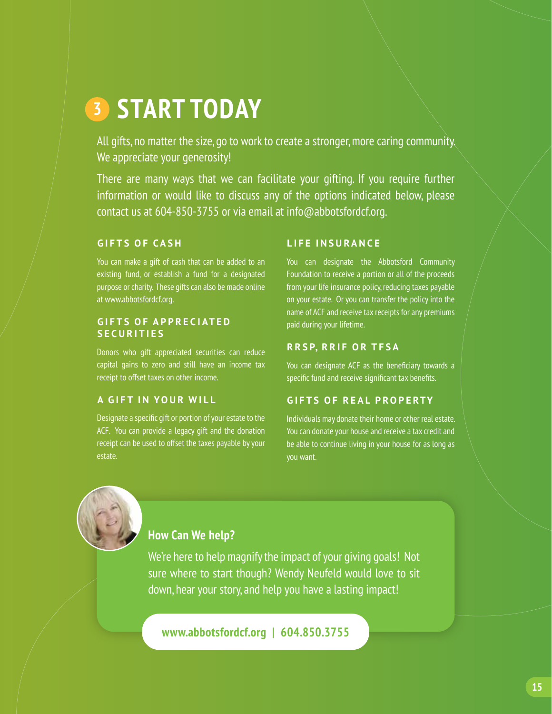### **START TODAY 3**

All gifts, no matter the size, go to work to create a stronger, more caring community. We appreciate your generosity!

There are many ways that we can facilitate your gifting. If you require further information or would like to discuss any of the options indicated below, please contact us at 604-850-3755 or via email at info@abbotsfordcf.org.

#### **GIFTS OF CASH**

You can make a gift of cash that can be added to an existing fund, or establish a fund for a designated purpose or charity. These gifts can also be made online at www.abbotsfordcf.org.

#### **GIFTS OF APPRECIATED SECURITIES**

Donors who gift appreciated securities can reduce capital gains to zero and still have an income tax receipt to offset taxes on other income.

#### **A GIFT IN YOUR WILL**

Designate a specific gift or portion of your estate to the ACF. You can provide a legacy gift and the donation receipt can be used to offset the taxes payable by your estate.

#### **LIFE INSURANCE**

You can designate the Abbotsford Community Foundation to receive a portion or all of the proceeds from your life insurance policy, reducing taxes payable on your estate. Or you can transfer the policy into the name of ACF and receive tax receipts for any premiums paid during your lifetime.

#### **RRSP, RRIF OR TFSA**

You can designate ACF as the beneficiary towards a specific fund and receive significant tax benefits.

#### **GIFTS OF REAL PROPERTY**

Individuals may donate their home or other real estate. You can donate your house and receive a tax credit and be able to continue living in your house for as long as you want.



#### **How Can We help?**

We're here to help magnify the impact of your giving goals! Not sure where to start though? Wendy Neufeld would love to sit down, hear your story, and help you have a lasting impact!

**www.abbotsfordcf.org | 604.850.3755**